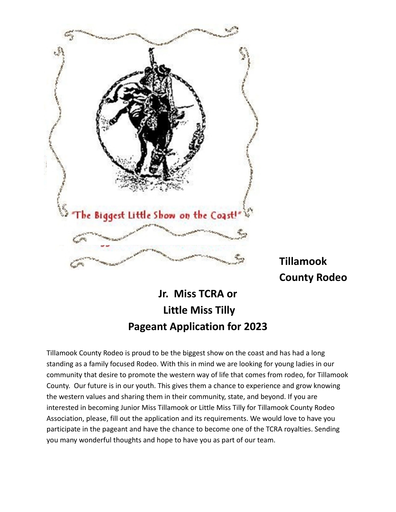

**Tillamook County Rodeo**

# **Jr. Miss TCRA or Little Miss Tilly Pageant Application for 2023**

Tillamook County Rodeo is proud to be the biggest show on the coast and has had a long standing as a family focused Rodeo. With this in mind we are looking for young ladies in our community that desire to promote the western way of life that comes from rodeo, for Tillamook County. Our future is in our youth. This gives them a chance to experience and grow knowing the western values and sharing them in their community, state, and beyond. If you are interested in becoming Junior Miss Tillamook or Little Miss Tilly for Tillamook County Rodeo Association, please, fill out the application and its requirements. We would love to have you participate in the pageant and have the chance to become one of the TCRA royalties. Sending you many wonderful thoughts and hope to have you as part of our team.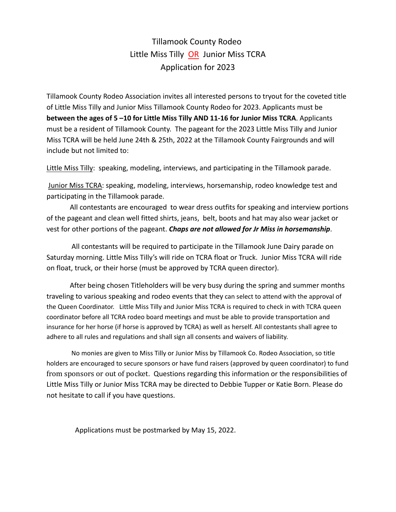#### Tillamook County Rodeo Little Miss Tilly OR Junior Miss TCRA Application for 2023

Tillamook County Rodeo Association invites all interested persons to tryout for the coveted title of Little Miss Tilly and Junior Miss Tillamook County Rodeo for 2023. Applicants must be **between the ages of 5 –10 for Little Miss Tilly AND 11‐16 for Junior Miss TCRA**. Applicants must be a resident of Tillamook County. The pageant for the 2023 Little Miss Tilly and Junior Miss TCRA will be held June 24th & 25th, 2022 at the Tillamook County Fairgrounds and will include but not limited to:

Little Miss Tilly: speaking, modeling, interviews, and participating in the Tillamook parade.

Junior Miss TCRA: speaking, modeling, interviews, horsemanship, rodeo knowledge test and participating in the Tillamook parade.

All contestants are encouraged to wear dress outfits for speaking and interview portions of the pageant and clean well fitted shirts, jeans, belt, boots and hat may also wear jacket or vest for other portions of the pageant. *Chaps are not allowed for Jr Miss in horsemanship*.

All contestants will be required to participate in the Tillamook June Dairy parade on Saturday morning. Little Miss Tilly's will ride on TCRA float or Truck. Junior Miss TCRA will ride on float, truck, or their horse (must be approved by TCRA queen director).

After being chosen Titleholders will be very busy during the spring and summer months traveling to various speaking and rodeo events that they can select to attend with the approval of the Queen Coordinator. Little Miss Tilly and Junior Miss TCRA is required to check in with TCRA queen coordinator before all TCRA rodeo board meetings and must be able to provide transportation and insurance for her horse (if horse is approved by TCRA) as well as herself. All contestants shall agree to adhere to all rules and regulations and shall sign all consents and waivers of liability.

No monies are given to Miss Tilly or Junior Miss by Tillamook Co. Rodeo Association, so title holders are encouraged to secure sponsors or have fund raisers (approved by queen coordinator) to fund from sponsors or out of pocket. Questions regarding this information or the responsibilities of Little Miss Tilly or Junior Miss TCRA may be directed to Debbie Tupper or Katie Born. Please do not hesitate to call if you have questions.

Applications must be postmarked by May 15, 2022.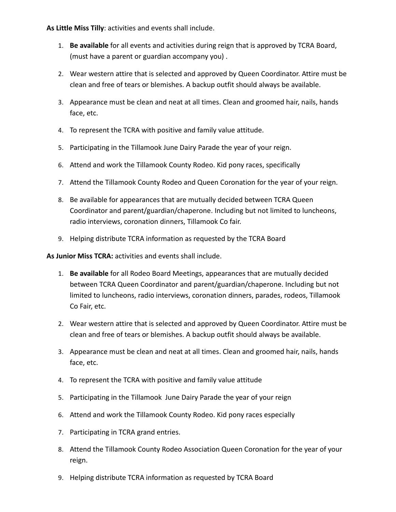**As Little Miss Tilly**: activities and events shall include.

- 1. **Be available** for all events and activities during reign that is approved by TCRA Board, (must have a parent or guardian accompany you) .
- 2. Wear western attire that is selected and approved by Queen Coordinator. Attire must be clean and free of tears or blemishes. A backup outfit should always be available.
- 3. Appearance must be clean and neat at all times. Clean and groomed hair, nails, hands face, etc.
- 4. To represent the TCRA with positive and family value attitude.
- 5. Participating in the Tillamook June Dairy Parade the year of your reign.
- 6. Attend and work the Tillamook County Rodeo. Kid pony races, specifically
- 7. Attend the Tillamook County Rodeo and Queen Coronation for the year of your reign.
- 8. Be available for appearances that are mutually decided between TCRA Queen Coordinator and parent/guardian/chaperone. Including but not limited to luncheons, radio interviews, coronation dinners, Tillamook Co fair.
- 9. Helping distribute TCRA information as requested by the TCRA Board

**As Junior Miss TCRA:** activities and events shall include.

- 1. **Be available** for all Rodeo Board Meetings, appearances that are mutually decided between TCRA Queen Coordinator and parent/guardian/chaperone. Including but not limited to luncheons, radio interviews, coronation dinners, parades, rodeos, Tillamook Co Fair, etc.
- 2. Wear western attire that is selected and approved by Queen Coordinator. Attire must be clean and free of tears or blemishes. A backup outfit should always be available.
- 3. Appearance must be clean and neat at all times. Clean and groomed hair, nails, hands face, etc.
- 4. To represent the TCRA with positive and family value attitude
- 5. Participating in the Tillamook June Dairy Parade the year of your reign
- 6. Attend and work the Tillamook County Rodeo. Kid pony races especially
- 7. Participating in TCRA grand entries.
- 8. Attend the Tillamook County Rodeo Association Queen Coronation for the year of your reign.
- 9. Helping distribute TCRA information as requested by TCRA Board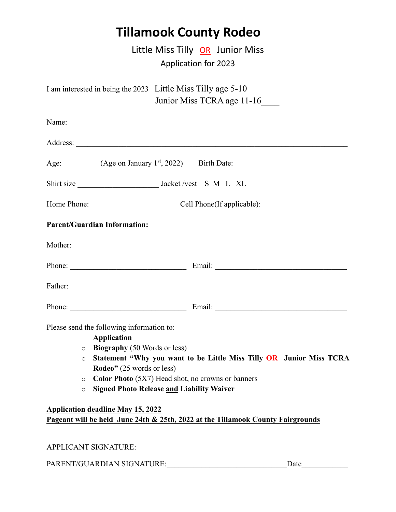# **Tillamook County Rodeo**

Little Miss Tilly OR Junior Miss Application for 2023

| Age: $(Age on January 1st, 2022)$ Birth Date:<br><b>Parent/Guardian Information:</b><br>Father:<br>Please send the following information to:<br><b>Application</b><br>$\circ$ Biography (50 Words or less)<br>Statement "Why you want to be Little Miss Tilly OR Junior Miss TCRA<br>$\circ$<br><b>Rodeo</b> " (25 words or less)<br>Color Photo (5X7) Head shot, no crowns or banners<br>$\circ$<br><b>Signed Photo Release and Liability Waiver</b><br>$\circ$<br><b>Application deadline May 15, 2022</b><br>Pageant will be held June 24th & 25th, 2022 at the Tillamook County Fairgrounds | I am interested in being the 2023 Little Miss Tilly age 5-10<br>Junior Miss TCRA age 11-16 |
|-------------------------------------------------------------------------------------------------------------------------------------------------------------------------------------------------------------------------------------------------------------------------------------------------------------------------------------------------------------------------------------------------------------------------------------------------------------------------------------------------------------------------------------------------------------------------------------------------|--------------------------------------------------------------------------------------------|
|                                                                                                                                                                                                                                                                                                                                                                                                                                                                                                                                                                                                 |                                                                                            |
|                                                                                                                                                                                                                                                                                                                                                                                                                                                                                                                                                                                                 |                                                                                            |
|                                                                                                                                                                                                                                                                                                                                                                                                                                                                                                                                                                                                 |                                                                                            |
|                                                                                                                                                                                                                                                                                                                                                                                                                                                                                                                                                                                                 |                                                                                            |
|                                                                                                                                                                                                                                                                                                                                                                                                                                                                                                                                                                                                 |                                                                                            |
|                                                                                                                                                                                                                                                                                                                                                                                                                                                                                                                                                                                                 |                                                                                            |
|                                                                                                                                                                                                                                                                                                                                                                                                                                                                                                                                                                                                 |                                                                                            |
|                                                                                                                                                                                                                                                                                                                                                                                                                                                                                                                                                                                                 |                                                                                            |
|                                                                                                                                                                                                                                                                                                                                                                                                                                                                                                                                                                                                 |                                                                                            |
|                                                                                                                                                                                                                                                                                                                                                                                                                                                                                                                                                                                                 |                                                                                            |
|                                                                                                                                                                                                                                                                                                                                                                                                                                                                                                                                                                                                 |                                                                                            |
| APPLICANT SIGNATURE:                                                                                                                                                                                                                                                                                                                                                                                                                                                                                                                                                                            |                                                                                            |

PARENT/GUARDIAN SIGNATURE:\_\_\_\_\_\_\_\_\_\_\_\_\_\_\_\_\_\_\_\_\_\_\_\_\_\_\_\_\_\_\_Date\_\_\_\_\_\_\_\_\_\_\_\_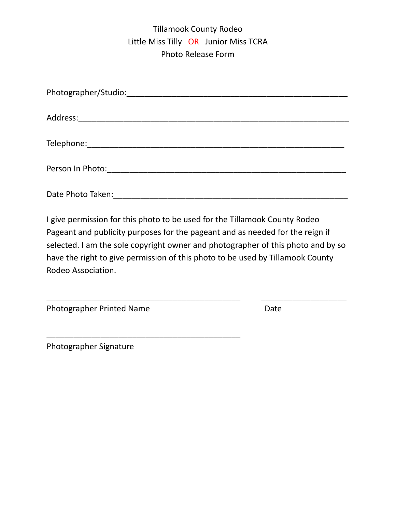### Tillamook County Rodeo Little Miss Tilly OR Junior Miss TCRA Photo Release Form

| Date Photo Taken: |
|-------------------|

I give permission for this photo to be used for the Tillamook County Rodeo Pageant and publicity purposes for the pageant and as needed for the reign if selected. I am the sole copyright owner and photographer of this photo and by so have the right to give permission of this photo to be used by Tillamook County Rodeo Association.

\_\_\_\_\_\_\_\_\_\_\_\_\_\_\_\_\_\_\_\_\_\_\_\_\_\_\_\_\_\_\_\_\_\_\_\_\_\_\_\_\_\_\_ \_\_\_\_\_\_\_\_\_\_\_\_\_\_\_\_\_\_\_

Photographer Printed Name **Branch Englisher State** Date

\_\_\_\_\_\_\_\_\_\_\_\_\_\_\_\_\_\_\_\_\_\_\_\_\_\_\_\_\_\_\_\_\_\_\_\_\_\_\_\_\_\_\_

Photographer Signature